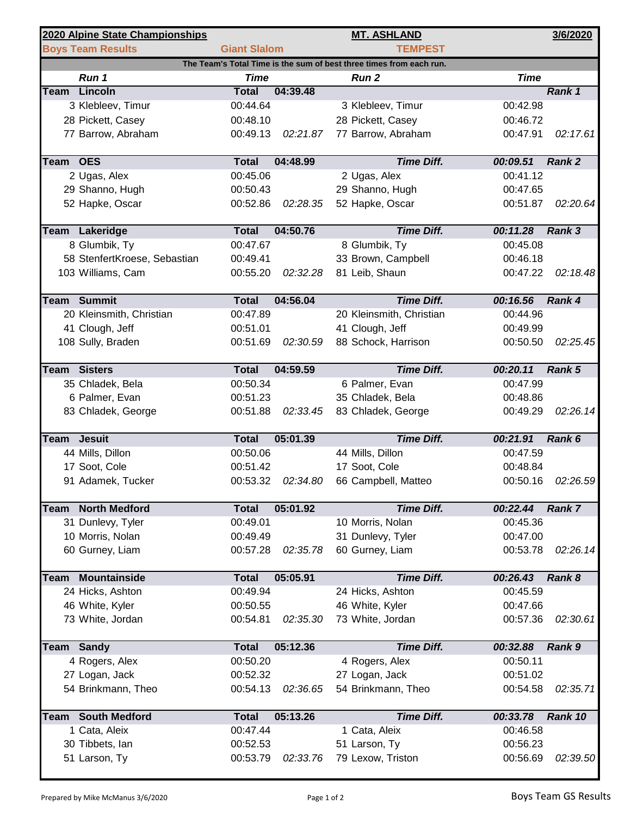|                                                                     | 2020 Alpine State Championships           |                          |          | <b>MT. ASHLAND</b>                    |                      | 3/6/2020      |  |  |  |  |  |
|---------------------------------------------------------------------|-------------------------------------------|--------------------------|----------|---------------------------------------|----------------------|---------------|--|--|--|--|--|
|                                                                     | <b>Boys Team Results</b>                  | <b>Giant Slalom</b>      |          | <b>TEMPEST</b>                        |                      |               |  |  |  |  |  |
| The Team's Total Time is the sum of best three times from each run. |                                           |                          |          |                                       |                      |               |  |  |  |  |  |
|                                                                     | Run 1                                     | <b>Time</b>              |          | Run <sub>2</sub>                      | <b>Time</b>          |               |  |  |  |  |  |
| Team                                                                | <b>Lincoln</b>                            | <b>Total</b>             | 04:39.48 |                                       |                      | Rank 1        |  |  |  |  |  |
|                                                                     | 3 Klebleev, Timur                         | 00:44.64                 |          | 3 Klebleev, Timur                     | 00:42.98             |               |  |  |  |  |  |
|                                                                     | 28 Pickett, Casey                         | 00:48.10                 |          | 28 Pickett, Casey                     | 00:46.72             |               |  |  |  |  |  |
|                                                                     | 77 Barrow, Abraham                        | 00:49.13                 | 02:21.87 | 77 Barrow, Abraham                    | 00:47.91             | 02:17.61      |  |  |  |  |  |
| Team OES                                                            |                                           | <b>Total</b>             | 04:48.99 | <b>Time Diff.</b>                     | 00:09.51             | Rank 2        |  |  |  |  |  |
|                                                                     | 2 Ugas, Alex                              | 00:45.06                 |          | 2 Ugas, Alex                          | 00:41.12             |               |  |  |  |  |  |
|                                                                     | 29 Shanno, Hugh                           | 00:50.43                 |          | 29 Shanno, Hugh                       | 00:47.65             |               |  |  |  |  |  |
|                                                                     | 52 Hapke, Oscar                           | 00:52.86                 | 02:28.35 | 52 Hapke, Oscar                       | 00:51.87             | 02:20.64      |  |  |  |  |  |
|                                                                     | Team Lakeridge                            | <b>Total</b>             | 04:50.76 | <b>Time Diff.</b>                     | 00:11.28             | Rank 3        |  |  |  |  |  |
|                                                                     | 8 Glumbik, Ty                             | 00:47.67                 |          | 8 Glumbik, Ty                         | 00:45.08             |               |  |  |  |  |  |
|                                                                     | 58 StenfertKroese, Sebastian              | 00:49.41                 |          | 33 Brown, Campbell                    | 00:46.18             |               |  |  |  |  |  |
|                                                                     | 103 Williams, Cam                         | 00:55.20                 | 02:32.28 | 81 Leib, Shaun                        | 00:47.22             | 02:18.48      |  |  |  |  |  |
|                                                                     | <b>Team Summit</b>                        | <b>Total</b>             | 04:56.04 | <b>Time Diff.</b>                     | 00:16.56             | Rank 4        |  |  |  |  |  |
|                                                                     | 20 Kleinsmith, Christian                  | 00:47.89                 |          | 20 Kleinsmith, Christian              | 00:44.96             |               |  |  |  |  |  |
|                                                                     | 41 Clough, Jeff                           | 00:51.01                 |          | 41 Clough, Jeff                       | 00:49.99             |               |  |  |  |  |  |
|                                                                     | 108 Sully, Braden                         | 00:51.69                 | 02:30.59 | 88 Schock, Harrison                   | 00:50.50             | 02:25.45      |  |  |  |  |  |
|                                                                     |                                           |                          |          |                                       |                      |               |  |  |  |  |  |
| Team                                                                | <b>Sisters</b>                            | <b>Total</b>             | 04:59.59 | <b>Time Diff.</b>                     | 00:20.11             | Rank 5        |  |  |  |  |  |
|                                                                     | 35 Chladek, Bela                          | 00:50.34                 |          | 6 Palmer, Evan                        | 00:47.99             |               |  |  |  |  |  |
|                                                                     | 6 Palmer, Evan                            | 00:51.23                 |          | 35 Chladek, Bela                      | 00:48.86             |               |  |  |  |  |  |
|                                                                     | 83 Chladek, George                        | 00:51.88                 | 02:33.45 | 83 Chladek, George                    | 00:49.29             | 02:26.14      |  |  |  |  |  |
| Team                                                                | <b>Jesuit</b>                             | <b>Total</b>             | 05:01.39 | <b>Time Diff.</b>                     | 00:21.91             | Rank 6        |  |  |  |  |  |
|                                                                     | 44 Mills, Dillon                          | 00:50.06                 |          | 44 Mills, Dillon                      | 00:47.59             |               |  |  |  |  |  |
|                                                                     | 17 Soot, Cole                             | 00:51.42                 |          | 17 Soot, Cole                         | 00:48.84             |               |  |  |  |  |  |
|                                                                     | 91 Adamek, Tucker                         | 00:53.32                 | 02:34.80 | 66 Campbell, Matteo                   | 00:50.16             | 02:26.59      |  |  |  |  |  |
|                                                                     |                                           |                          |          |                                       |                      |               |  |  |  |  |  |
| Team                                                                | <b>North Medford</b><br>31 Dunlevy, Tyler | <b>Total</b><br>00:49.01 | 05:01.92 | <b>Time Diff.</b><br>10 Morris, Nolan | 00:22.44<br>00:45.36 | <b>Rank 7</b> |  |  |  |  |  |
|                                                                     | 10 Morris, Nolan                          | 00:49.49                 |          | 31 Dunlevy, Tyler                     | 00:47.00             |               |  |  |  |  |  |
|                                                                     | 60 Gurney, Liam                           | 00:57.28                 | 02:35.78 | 60 Gurney, Liam                       | 00:53.78             | 02:26.14      |  |  |  |  |  |
|                                                                     |                                           |                          |          |                                       |                      |               |  |  |  |  |  |
| <b>Team</b>                                                         | <b>Mountainside</b>                       | <b>Total</b>             | 05:05.91 | <b>Time Diff.</b>                     | 00:26.43             | Rank 8        |  |  |  |  |  |
|                                                                     | 24 Hicks, Ashton                          | 00:49.94                 |          | 24 Hicks, Ashton                      | 00:45.59             |               |  |  |  |  |  |
|                                                                     | 46 White, Kyler                           | 00:50.55                 |          | 46 White, Kyler                       | 00:47.66             |               |  |  |  |  |  |
|                                                                     | 73 White, Jordan                          | 00:54.81                 | 02:35.30 | 73 White, Jordan                      | 00:57.36             | 02:30.61      |  |  |  |  |  |
|                                                                     | <b>Team Sandy</b>                         | <b>Total</b>             | 05:12.36 | <b>Time Diff.</b>                     | 00:32.88             | Rank 9        |  |  |  |  |  |
|                                                                     | 4 Rogers, Alex                            | 00:50.20                 |          | 4 Rogers, Alex                        | 00:50.11             |               |  |  |  |  |  |
|                                                                     | 27 Logan, Jack                            | 00:52.32                 |          | 27 Logan, Jack                        | 00:51.02             |               |  |  |  |  |  |
|                                                                     | 54 Brinkmann, Theo                        | 00:54.13                 | 02:36.65 | 54 Brinkmann, Theo                    | 00:54.58             | 02:35.71      |  |  |  |  |  |
|                                                                     |                                           |                          |          |                                       |                      |               |  |  |  |  |  |
| Team                                                                | <b>South Medford</b>                      | <b>Total</b>             | 05:13.26 | <b>Time Diff.</b>                     | 00:33.78             | Rank 10       |  |  |  |  |  |
|                                                                     | 1 Cata, Aleix                             | 00:47.44                 |          | 1 Cata, Aleix                         | 00:46.58             |               |  |  |  |  |  |
|                                                                     | 30 Tibbets, lan                           | 00:52.53                 |          | 51 Larson, Ty                         | 00:56.23             |               |  |  |  |  |  |
|                                                                     | 51 Larson, Ty                             | 00:53.79                 | 02:33.76 | 79 Lexow, Triston                     | 00:56.69             | 02:39.50      |  |  |  |  |  |